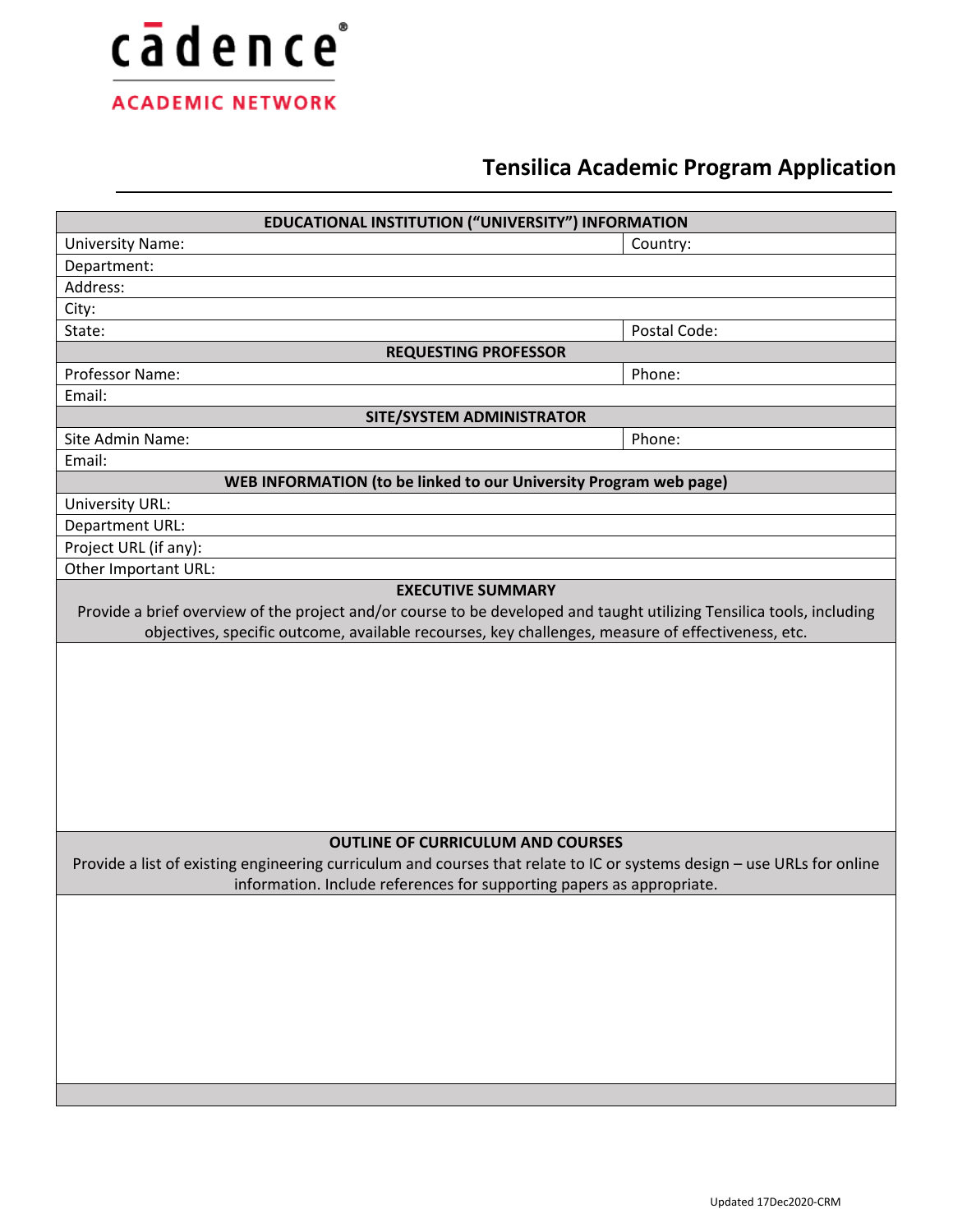

# **Tensilica Academic Program Application**

| EDUCATIONAL INSTITUTION ("UNIVERSITY") INFORMATION                                                                      |              |
|-------------------------------------------------------------------------------------------------------------------------|--------------|
| <b>University Name:</b>                                                                                                 | Country:     |
| Department:                                                                                                             |              |
| Address:                                                                                                                |              |
| City:                                                                                                                   |              |
| State:                                                                                                                  | Postal Code: |
| <b>REQUESTING PROFESSOR</b>                                                                                             |              |
| Professor Name:                                                                                                         | Phone:       |
| Email:                                                                                                                  |              |
| SITE/SYSTEM ADMINISTRATOR                                                                                               |              |
| Site Admin Name:                                                                                                        | Phone:       |
| Email:                                                                                                                  |              |
| WEB INFORMATION (to be linked to our University Program web page)                                                       |              |
| University URL:                                                                                                         |              |
| Department URL:                                                                                                         |              |
| Project URL (if any):                                                                                                   |              |
| Other Important URL:                                                                                                    |              |
| objectives, specific outcome, available recourses, key challenges, measure of effectiveness, etc.                       |              |
| <b>OUTLINE OF CURRICULUM AND COURSES</b>                                                                                |              |
| Provide a list of existing engineering curriculum and courses that relate to IC or systems design - use URLs for online |              |
| information. Include references for supporting papers as appropriate.                                                   |              |
|                                                                                                                         |              |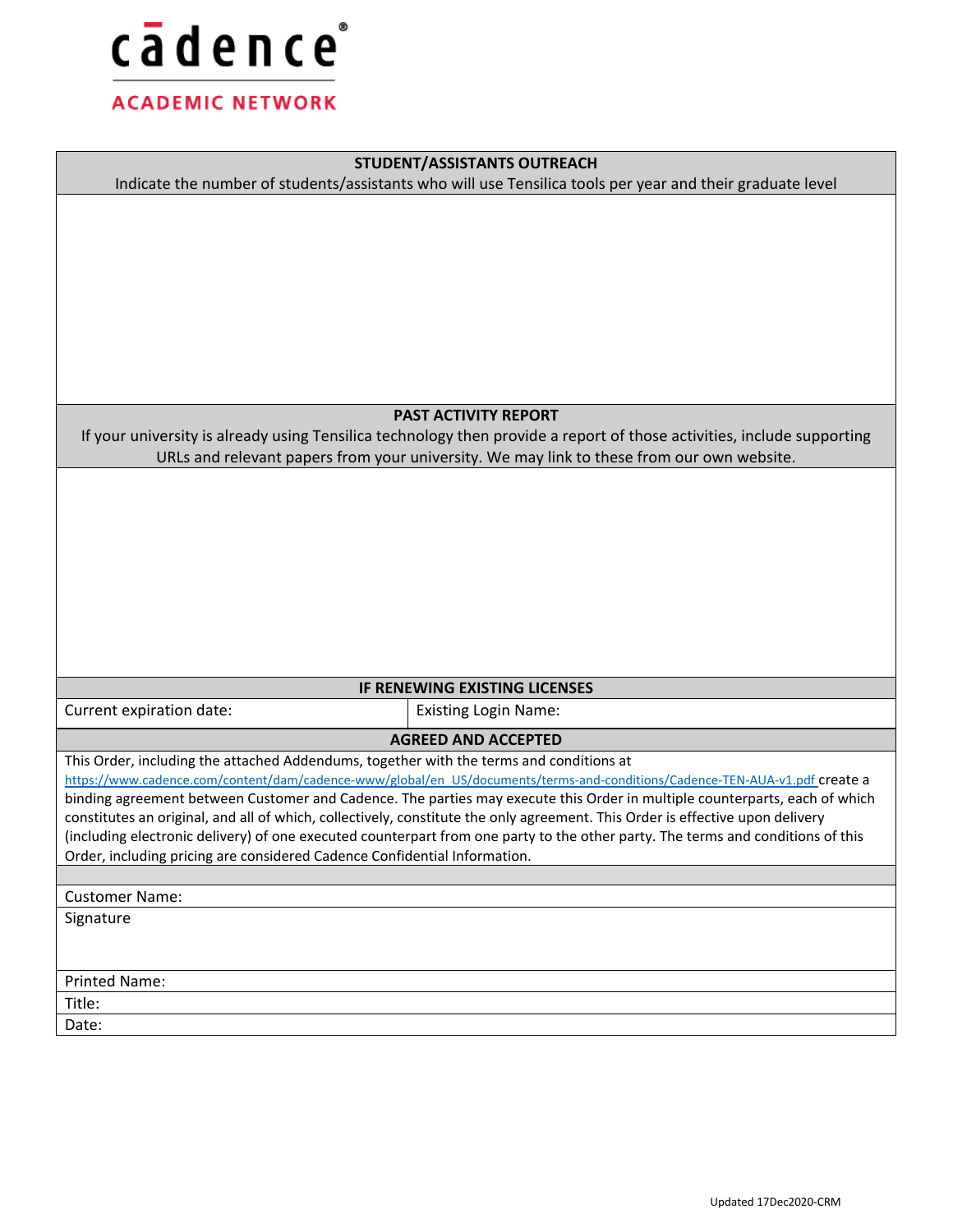

## **STUDENT/ASSISTANTS OUTREACH**

Indicate the number of students/assistants who will use Tensilica tools per year and their graduate level

### **PAST ACTIVITY REPORT**

If your university is already using Tensilica technology then provide a report of those activities, include supporting URLs and relevant papers from your university. We may link to these from our own website.

## **IF RENEWING EXISTING LICENSES**

Current expiration date: <br> Existing Login Name:

**AGREED AND ACCEPTED**

This Order, including the attached Addendums, together with the terms and conditions at

[https://www.cadence.com/content/dam/cadence-www/global/en\\_US/documents/terms-and-conditions/Cadence-TEN-AUA-v1.pdf](https://www.cadence.com/content/dam/cadence-www/global/en_US/documents/terms-and-conditions/Cadence-TEN-AUA-v1.pdf) create a binding agreement between Customer and Cadence. The parties may execute this Order in multiple counterparts, each of which constitutes an original, and all of which, collectively, constitute the only agreement. This Order is effective upon delivery (including electronic delivery) of one executed counterpart from one party to the other party. The terms and conditions of this Order, including pricing are considered Cadence Confidential Information.

# Customer Name: Signature Printed Name: Title:

Date: